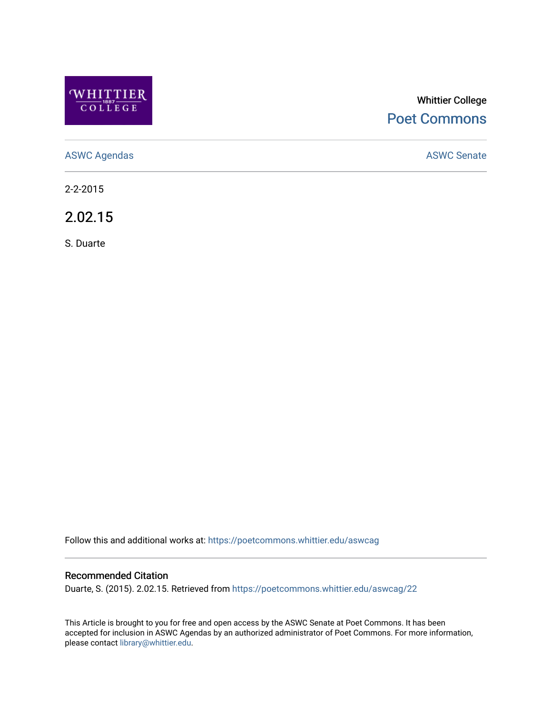

# Whittier College [Poet Commons](https://poetcommons.whittier.edu/)

[ASWC Agendas](https://poetcommons.whittier.edu/aswcag) **ASWC Senate** 

2-2-2015

2.02.15

S. Duarte

Follow this and additional works at: [https://poetcommons.whittier.edu/aswcag](https://poetcommons.whittier.edu/aswcag?utm_source=poetcommons.whittier.edu%2Faswcag%2F22&utm_medium=PDF&utm_campaign=PDFCoverPages) 

# Recommended Citation

Duarte, S. (2015). 2.02.15. Retrieved from [https://poetcommons.whittier.edu/aswcag/22](https://poetcommons.whittier.edu/aswcag/22?utm_source=poetcommons.whittier.edu%2Faswcag%2F22&utm_medium=PDF&utm_campaign=PDFCoverPages) 

This Article is brought to you for free and open access by the ASWC Senate at Poet Commons. It has been accepted for inclusion in ASWC Agendas by an authorized administrator of Poet Commons. For more information, please contact [library@whittier.edu](mailto:library@whittier.edu).